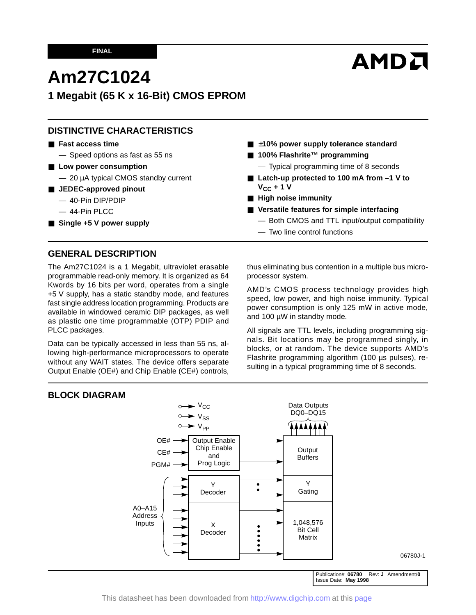# **AMDA**

## **Am27C1024**

**1 Megabit (65 K x 16-Bit) CMOS EPROM**

## **DISTINCTIVE CHARACTERISTICS**

#### ■ **Fast access time**

— Speed options as fast as 55 ns

- Low power consumption
	- 20 µA typical CMOS standby current
- **JEDEC-approved pinout** 
	- 40-Pin DIP/PDIP
	- 44-Pin PLCC
- Single +5 V power supply
- ±10% power supply tolerance standard
- **100% Flashrite™ programming** — Typical programming time of 8 seconds
- Latch-up protected to 100 mA from -1 V to  $V_{CC}$  + 1 V
- **High noise immunity**
- **Versatile features for simple interfacing**
	- Both CMOS and TTL input/output compatibility
	- Two line control functions

## **GENERAL DESCRIPTION**

The Am27C1024 is a 1 Megabit, ultraviolet erasable programmable read-only memory. It is organized as 64 Kwords by 16 bits per word, operates from a single +5 V supply, has a static standby mode, and features fast single address location programming. Products are available in windowed ceramic DIP packages, as well as plastic one time programmable (OTP) PDIP and PLCC packages.

Data can be typically accessed in less than 55 ns, allowing high-performance microprocessors to operate without any WAIT states. The device offers separate Output Enable (OE#) and Chip Enable (CE#) controls, thus eliminating bus contention in a multiple bus microprocessor system.

AMD's CMOS process technology provides high speed, low power, and high noise immunity. Typical power consumption is only 125 mW in active mode, and 100 µW in standby mode.

All signals are TTL levels, including programming signals. Bit locations may be programmed singly, in blocks, or at random. The device supports AMD's Flashrite programming algorithm (100 µs pulses), resulting in a typical programming time of 8 seconds.

## **BLOCK DIAGRAM**



06780J-1

Publication# **06780** Rev: **J** Amendment/**0** Issue Date: **May 1998**

This datasheet has been downloaded from <http://www.digchip.com> at this [page](https://www.digchip.com/datasheets/parts/datasheet/013/27C1024.php)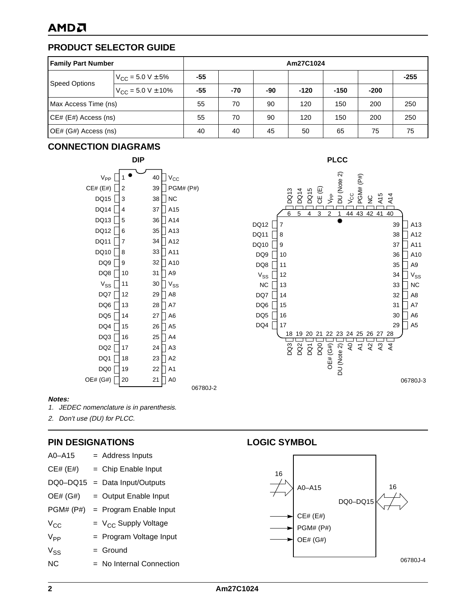## **PRODUCT SELECTOR GUIDE**

| <b>Family Part Number</b> | Am27C1024                       |     |       |     |        |        |        |        |
|---------------------------|---------------------------------|-----|-------|-----|--------|--------|--------|--------|
| <b>Speed Options</b>      | $V_{\text{CC}} = 5.0 V \pm 5\%$ | -55 |       |     |        |        |        | $-255$ |
|                           | $V_{CC}$ = 5.0 V $\pm$ 10%      | -55 | $-70$ | -90 | $-120$ | $-150$ | $-200$ |        |
| Max Access Time (ns)      |                                 | 55  | 70    | 90  | 120    | 150    | 200    | 250    |
| CE# (E#) Access (ns)      |                                 | 55  | 70    | 90  | 120    | 150    | 200    | 250    |
| OE# (G#) Access (ns)      |                                 | 40  | 40    | 45  | 50     | 65     | 75     | 75     |

## **CONNECTION DIAGRAMS**





#### **Notes:**



2. Don't use (DU) for PLCC.

## **PIN DESIGNATIONS**

| A0-A15          | $=$ Address Inputs         |                  |          |          |
|-----------------|----------------------------|------------------|----------|----------|
| CE# (E#)        | $=$ Chip Enable Input      | 16               |          |          |
| DQ0-DQ15        | $=$ Data Input/Outputs     | A0-A15           |          | 16       |
| OE# (G#)        | $=$ Output Enable Input    |                  | DQ0-DQ15 |          |
| PGM# (P#)       | $=$ Program Enable Input   | CE# (E#)         |          |          |
| $V_{CC}$        | $= V_{CC}$ Supply Voltage  | <b>PGM# (P#)</b> |          |          |
| V <sub>PP</sub> | $=$ Program Voltage Input  | OE# (G#)         |          |          |
| $V_{SS}$        | $=$ Ground                 |                  |          |          |
| <b>NC</b>       | $=$ No Internal Connection |                  |          | 06780J-4 |

## **LOGIC SYMBOL**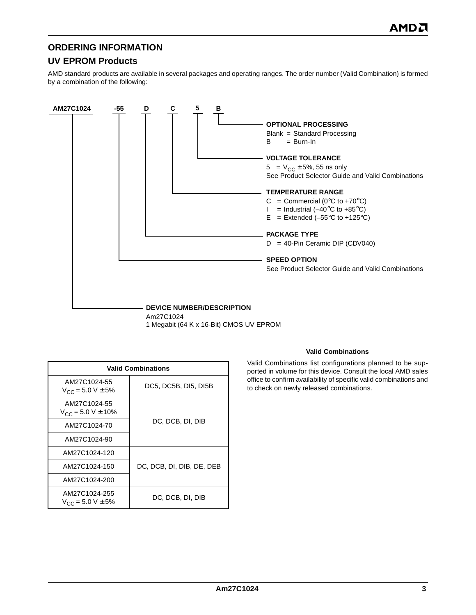## **ORDERING INFORMATION**

## **UV EPROM Products**

AMD standard products are available in several packages and operating ranges. The order number (Valid Combination) is formed by a combination of the following:



Am27C1024 1 Megabit (64 K x 16-Bit) CMOS UV EPROM

| <b>Valid Combinations</b>                      |                           |  |  |  |  |  |  |
|------------------------------------------------|---------------------------|--|--|--|--|--|--|
| AM27C1024-55<br>$V_{CC}$ = 5.0 V $\pm$ 5%      | DC5, DC5B, DI5, DI5B      |  |  |  |  |  |  |
| AM27C1024-55<br>$V_{CC}$ = 5.0 V $\pm$ 10%     |                           |  |  |  |  |  |  |
| AM27C1024-70                                   | DC, DCB, DI, DIB          |  |  |  |  |  |  |
| AM27C1024-90                                   |                           |  |  |  |  |  |  |
| AM27C1024-120                                  |                           |  |  |  |  |  |  |
| AM27C1024-150                                  | DC, DCB, DI, DIB, DE, DEB |  |  |  |  |  |  |
| AM27C1024-200                                  |                           |  |  |  |  |  |  |
| AM27C1024-255<br>$V_{\rm CC}$ = 5.0 V $\pm$ 5% | DC, DCB, DI, DIB          |  |  |  |  |  |  |

#### **Valid Combinations**

Valid Combinations list configurations planned to be supported in volume for this device. Consult the local AMD sales office to confirm availability of specific valid combinations and to check on newly released combinations.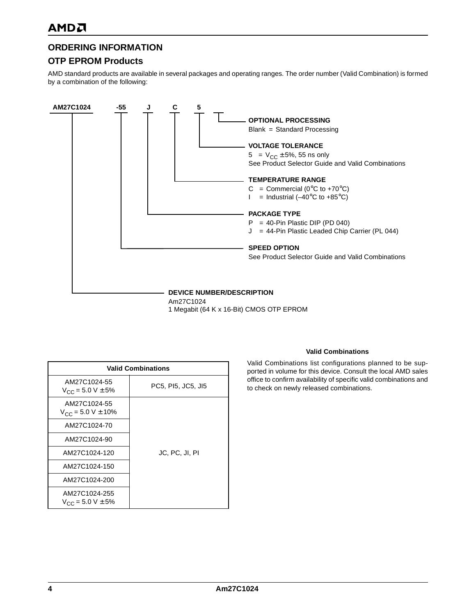## **ORDERING INFORMATION**

## **OTP EPROM Products**

AMD standard products are available in several packages and operating ranges. The order number (Valid Combination) is formed by a combination of the following:



1 Megabit (64 K x 16-Bit) CMOS OTP EPROM

| <b>Valid Combinations</b>                      |                    |  |  |  |  |  |
|------------------------------------------------|--------------------|--|--|--|--|--|
| AM27C1024-55<br>$V_{CC}$ = 5.0 V $\pm$ 5%      | PC5, PI5, JC5, JI5 |  |  |  |  |  |
| AM27C1024-55<br>$V_{CC}$ = 5.0 V $\pm$ 10%     |                    |  |  |  |  |  |
| AM27C1024-70                                   |                    |  |  |  |  |  |
| AM27C1024-90                                   |                    |  |  |  |  |  |
| AM27C1024-120                                  | JC, PC, JI, PI     |  |  |  |  |  |
| AM27C1024-150                                  |                    |  |  |  |  |  |
| AM27C1024-200                                  |                    |  |  |  |  |  |
| AM27C1024-255<br>$V_{\rm CC}$ = 5.0 V $\pm$ 5% |                    |  |  |  |  |  |

#### **Valid Combinations**

Valid Combinations list configurations planned to be supported in volume for this device. Consult the local AMD sales office to confirm availability of specific valid combinations and to check on newly released combinations.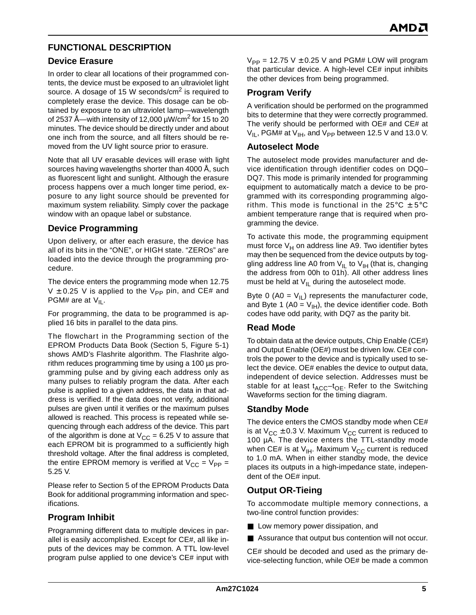## **FUNCTIONAL DESCRIPTION**

## **Device Erasure**

In order to clear all locations of their programmed contents, the device must be exposed to an ultraviolet light source. A dosage of 15 W seconds/cm<sup>2</sup> is required to completely erase the device. This dosage can be obtained by exposure to an ultraviolet lamp—wavelength of 2537 Å—with intensity of 12,000  $\mu$ W/cm<sup>2</sup> for 15 to 20 minutes. The device should be directly under and about one inch from the source, and all filters should be removed from the UV light source prior to erasure.

Note that all UV erasable devices will erase with light sources having wavelengths shorter than 4000 Å, such as fluorescent light and sunlight. Although the erasure process happens over a much longer time period, exposure to any light source should be prevented for maximum system reliability. Simply cover the package window with an opaque label or substance.

## **Device Programming**

Upon delivery, or after each erasure, the device has all of its bits in the "ONE", or HIGH state. "ZEROs" are loaded into the device through the programming procedure.

The device enters the programming mode when 12.75 V  $\pm$  0.25 V is applied to the V<sub>PP</sub> pin, and CE# and PGM# are at  $V_{II}$ .

For programming, the data to be programmed is applied 16 bits in parallel to the data pins.

The flowchart in the Programming section of the EPROM Products Data Book (Section 5, Figure 5-1) shows AMD's Flashrite algorithm. The Flashrite algorithm reduces programming time by using a 100 µs programming pulse and by giving each address only as many pulses to reliably program the data. After each pulse is applied to a given address, the data in that address is verified. If the data does not verify, additional pulses are given until it verifies or the maximum pulses allowed is reached. This process is repeated while sequencing through each address of the device. This part of the algorithm is done at  $V_{CC} = 6.25$  V to assure that each EPROM bit is programmed to a sufficiently high threshold voltage. After the final address is completed, the entire EPROM memory is verified at  $V_{CC} = V_{PP} =$ 5.25 V.

Please refer to Section 5 of the EPROM Products Data Book for additional programming information and specifications.

## **Program Inhibit**

Programming different data to multiple devices in parallel is easily accomplished. Except for CE#, all like inputs of the devices may be common. A TTL low-level program pulse applied to one device's CE# input with  $V_{PP}$  = 12.75 V  $\pm$  0.25 V and PGM# LOW will program that particular device. A high-level CE# input inhibits the other devices from being programmed.

## **Program Verify**

A verification should be performed on the programmed bits to determine that they were correctly programmed. The verify should be performed with OE# and CE# at  $V_{II}$ , PGM# at  $V_{IH}$ , and  $V_{PP}$  between 12.5 V and 13.0 V.

#### **Autoselect Mode**

The autoselect mode provides manufacturer and device identification through identifier codes on DQ0– DQ7. This mode is primarily intended for programming equipment to automatically match a device to be programmed with its corresponding programming algorithm. This mode is functional in the  $25^{\circ}$ C  $\pm$  5°C ambient temperature range that is required when programming the device.

To activate this mode, the programming equipment must force  $V_H$  on address line A9. Two identifier bytes may then be sequenced from the device outputs by toggling address line A0 from  $V_{II}$  to  $V_{IH}$  (that is, changing the address from 00h to 01h). All other address lines must be held at  $V_{II}$  during the autoselect mode.

Byte 0 (A0 =  $V_{II}$ ) represents the manufacturer code, and Byte 1 (A0 =  $V_{H}$ ), the device identifier code. Both codes have odd parity, with DQ7 as the parity bit.

## **Read Mode**

To obtain data at the device outputs, Chip Enable (CE#) and Output Enable (OE#) must be driven low. CE# controls the power to the device and is typically used to select the device. OE# enables the device to output data, independent of device selection. Addresses must be stable for at least  $t_{\text{ACC}}-t_{\text{OF}}$ . Refer to the Switching Waveforms section for the timing diagram.

## **Standby Mode**

The device enters the CMOS standby mode when CE# is at  $V_{CC} \pm 0.3$  V. Maximum  $V_{CC}$  current is reduced to 100 µA. The device enters the TTL-standby mode when CE# is at  $V_{IH}$ . Maximum  $V_{CC}$  current is reduced to 1.0 mA. When in either standby mode, the device places its outputs in a high-impedance state, independent of the OE# input.

## **Output OR-Tieing**

To accommodate multiple memory connections, a two-line control function provides:

- Low memory power dissipation, and
- Assurance that output bus contention will not occur.

CE# should be decoded and used as the primary device-selecting function, while OE# be made a common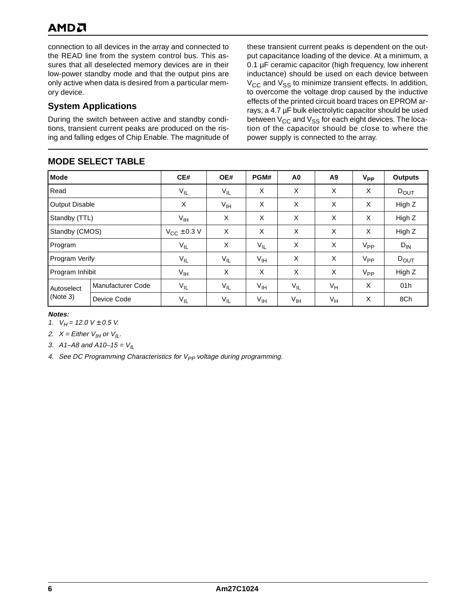## AMDA

connection to all devices in the array and connected to the READ line from the system control bus. This assures that all deselected memory devices are in their low-power standby mode and that the output pins are only active when data is desired from a particular memory device.

## **System Applications**

During the switch between active and standby conditions, transient current peaks are produced on the rising and falling edges of Chip Enable. The magnitude of

## **MODE SELECT TABLE**

these transient current peaks is dependent on the output capacitance loading of the device. At a minimum, a 0.1 µF ceramic capacitor (high frequency, low inherent inductance) should be used on each device between  $V_{\text{CC}}$  and  $V_{\text{SS}}$  to minimize transient effects. In addition, to overcome the voltage drop caused by the inductive effects of the printed circuit board traces on EPROM arrays, a 4.7 µF bulk electrolytic capacitor should be used between  $V_{CC}$  and  $V_{SS}$  for each eight devices. The location of the capacitor should be close to where the power supply is connected to the array.

| MUDL OLLLUT TADLL      |                          |                           |                 |                 |                 |       |          |                |  |  |
|------------------------|--------------------------|---------------------------|-----------------|-----------------|-----------------|-------|----------|----------------|--|--|
| <b>Mode</b>            |                          | CE#                       | OE#             | PGM#            | A <sub>0</sub>  | A9    | $V_{PP}$ | <b>Outputs</b> |  |  |
| Read                   |                          | $V_{IL}$                  | $V_{IL}$        | X               | X               | X     | X        | $D_{OUT}$      |  |  |
| Output Disable         |                          | X                         | $V_{\text{IH}}$ | X               | X               | X     | X        | High Z         |  |  |
| Standby (TTL)          |                          | V <sub>IH</sub>           | X               | X               | X               | X     | X        | High Z         |  |  |
| Standby (CMOS)         |                          | $V_{\text{CC}} \pm 0.3$ V | X               | X               | X               | X     | X        | High Z         |  |  |
| Program                |                          | $V_{IL}$                  | X               | $V_{IL}$        | X               | X     | $V_{PP}$ | $D_{IN}$       |  |  |
| Program Verify         |                          | $V_{IL}$                  | $V_{IL}$        | V <sub>IH</sub> | X               | X     | $V_{PP}$ | $D_{OUT}$      |  |  |
| Program Inhibit        |                          | $V_{IH}$                  | X               | X               | X               | X     | $V_{PP}$ | High Z         |  |  |
| Autoselect<br>(Note 3) | <b>Manufacturer Code</b> | $V_{IL}$                  | $V_{IL}$        | V <sub>IH</sub> | $V_{IL}$        | $V_H$ | X        | 01h            |  |  |
|                        | Device Code              | $V_{IL}$                  | $V_{IL}$        | $V_{\text{IH}}$ | V <sub>IH</sub> | $V_H$ | X        | 8Ch            |  |  |

#### **Notes:**

1.  $V_H$  = 12.0 V  $\pm$  0.5 V.

2.  $X =$  Either  $V_{II}$  or  $V_{IL}$ .

3. A1–A8 and A10–15 =  $V_{II}$ 

4. See DC Programming Characteristics for  $V_{PP}$  voltage during programming.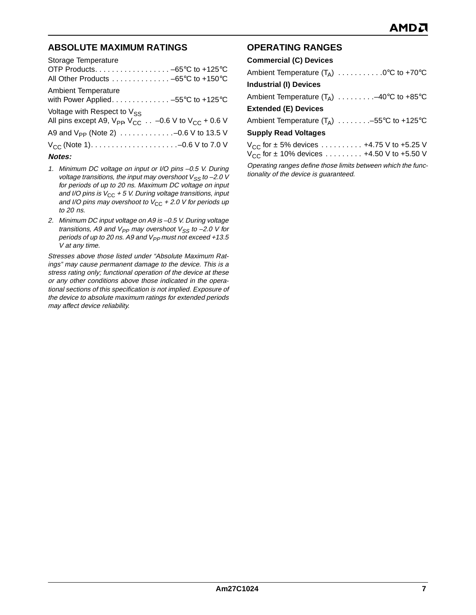## **ABSOLUTE MAXIMUM RATINGS**

| Storage Temperature                                                                     |
|-----------------------------------------------------------------------------------------|
|                                                                                         |
| All Other Products -65°C to +150°C                                                      |
| <b>Ambient Temperature</b>                                                              |
| with Power Applied. -55°C to +125°C                                                     |
| Voltage with Respect to $V_{SS}$                                                        |
| All pins except A9, $V_{\text{PP}}$ , $V_{\text{CC}}$ -0.6 V to $V_{\text{CC}}$ + 0.6 V |
|                                                                                         |
|                                                                                         |
| <b>Notes:</b>                                                                           |

- 1. Minimum DC voltage on input or I/O pins –0.5 V. During voltage transitions, the input may overshoot  $V_{SS}$  to -2.0 V for periods of up to 20 ns. Maximum DC voltage on input and I/O pins is  $V_{CC}$  + 5 V. During voltage transitions, input and I/O pins may overshoot to  $V_{CC}$  + 2.0 V for periods up to 20 ns.
- 2. Minimum DC input voltage on A9 is –0.5 V. During voltage transitions, A9 and  $V_{PP}$  may overshoot  $V_{SS}$  to -2.0 V for periods of up to 20 ns. A9 and  $V_{PP}$  must not exceed +13.5 V at any time.

Stresses above those listed under "Absolute Maximum Ratings" may cause permanent damage to the device. This is a stress rating only; functional operation of the device at these or any other conditions above those indicated in the operational sections of this specification is not implied. Exposure of the device to absolute maximum ratings for extended periods may affect device reliability.

## **OPERATING RANGES**

| <b>Commercial (C) Devices</b>                     |
|---------------------------------------------------|
| Ambient Temperature $(T_A)$ 0°C to +70°C          |
| <b>Industrial (I) Devices</b>                     |
| Ambient Temperature $(T_A)$ -40°C to +85°C        |
| <b>Extended (E) Devices</b>                       |
| Ambient Temperature $(T_A)$ -55°C to +125°C       |
| <b>Supply Read Voltages</b>                       |
| $V_{CC}$ for $\pm$ 5% devices  +4.75 V to +5.25 V |
| $V_{CC}$ for ± 10% devices  +4.50 V to +5.50 V    |
|                                                   |

Operating ranges define those limits between which the functionality of the device is guaranteed.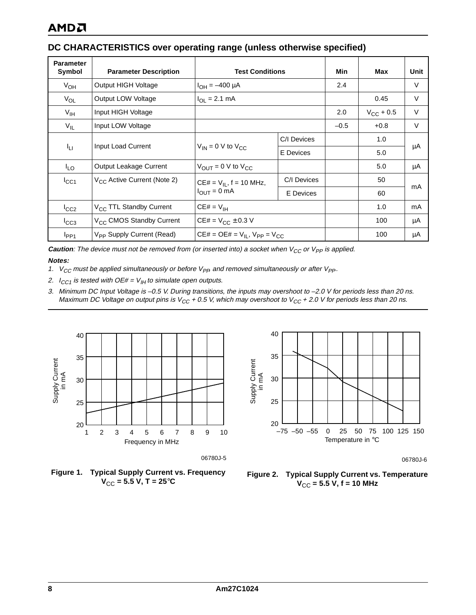## **DC CHARACTERISTICS over operating range (unless otherwise specified)**

| <b>Parameter</b><br>Symbol | <b>Parameter Description</b>                           | <b>Test Conditions</b>                    | Min              | Max    | Unit           |        |
|----------------------------|--------------------------------------------------------|-------------------------------------------|------------------|--------|----------------|--------|
| $V_{OH}$                   | Output HIGH Voltage                                    | $I_{OH} = -400 \mu A$                     |                  | 2.4    |                | V      |
| $V_{OL}$                   | Output LOW Voltage                                     | $I_{OL} = 2.1$ mA                         |                  |        | 0.45           | $\vee$ |
| $V_{\text{IH}}$            | Input HIGH Voltage                                     |                                           |                  | 2.0    | $V_{CC}$ + 0.5 | $\vee$ |
| $V_{IL}$                   | Input LOW Voltage                                      |                                           | $-0.5$           | $+0.8$ | V              |        |
|                            | $V_{IN}$ = 0 V to $V_{CC}$<br>Input Load Current<br>ŀц |                                           | C/I Devices      |        | 1.0            |        |
|                            |                                                        | E Devices                                 |                  | 5.0    | μA             |        |
| $I_{LO}$                   | Output Leakage Current                                 | $V_{\text{OUT}} = 0$ V to $V_{\text{CC}}$ |                  |        | 5.0            | μA     |
| $I_{CC1}$                  | V <sub>CC</sub> Active Current (Note 2)                | $CE# = V_{II}$ , f = 10 MHz,              | C/I Devices      |        | 50             | mA     |
|                            |                                                        | $I_{OUT} = 0$ mA                          | <b>E</b> Devices |        | 60             |        |
| $I_{CC2}$                  | V <sub>CC</sub> TTL Standby Current                    | $CE# = V_{IH}$                            |                  |        | 1.0            | mA     |
| $I_{CC3}$                  | V <sub>CC</sub> CMOS Standby Current                   | $CE# = V_{CC} \pm 0.3 V$                  |                  |        | 100            | μA     |
| $I_{PP1}$                  | V <sub>PP</sub> Supply Current (Read)                  | $CE# = OE# = V_{II}$ , $V_{PP} = V_{CC}$  |                  |        | 100            | μA     |

**Caution**: The device must not be removed from (or inserted into) a socket when  $V_{CC}$  or  $V_{PP}$  is applied.

#### **Notes:**

- 1.  $V_{CC}$  must be applied simultaneously or before  $V_{PP}$  and removed simultaneously or after  $V_{PP}$ .
- 2.  $I_{CC1}$  is tested with OE# =  $V_{IH}$  to simulate open outputs.
- 3. Minimum DC Input Voltage is –0.5 V. During transitions, the inputs may overshoot to –2.0 V for periods less than 20 ns. Maximum DC Voltage on output pins is V<sub>CC</sub> + 0.5 V, which may overshoot to V<sub>CC</sub> + 2.0 V for periods less than 20 ns.





06780J-6



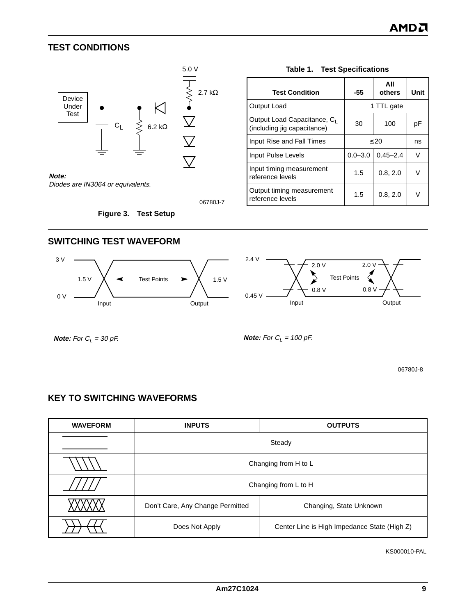## <span id="page-8-0"></span>**TEST CONDITIONS**



06780J-7

#### **Figure 3. Test Setup**

| <b>Test Condition</b>                                                  | -55         | All<br>others |    |  |  |
|------------------------------------------------------------------------|-------------|---------------|----|--|--|
| Output Load                                                            | 1 TTL gate  |               |    |  |  |
| Output Load Capacitance, C <sub>1</sub><br>(including jig capacitance) | 30          | 100           | рF |  |  |
| Input Rise and Fall Times                                              | $\leq 20$   | ns            |    |  |  |
| Input Pulse Levels                                                     | $0.0 - 3.0$ | $0.45 - 2.4$  | v  |  |  |
| Input timing measurement<br>reference levels                           | 1.5         | 0.8, 2.0      |    |  |  |
| Output timing measurement<br>reference levels                          | 1.5         | 0.8, 2.0      |    |  |  |

#### **Table 1. Test Specifications**

**SWITCHING TEST WAVEFORM**





**Note:** For  $C_L = 30$  pF.

**Note:** For  $C_L = 100$  pF.

06780J-8

## **KEY TO SWITCHING WAVEFORMS**

| <b>WAVEFORM</b> | <b>INPUTS</b>                    | <b>OUTPUTS</b>                               |  |  |  |  |  |
|-----------------|----------------------------------|----------------------------------------------|--|--|--|--|--|
|                 | Steady                           |                                              |  |  |  |  |  |
|                 |                                  | Changing from H to L                         |  |  |  |  |  |
|                 |                                  | Changing from L to H                         |  |  |  |  |  |
|                 | Don't Care, Any Change Permitted | Changing, State Unknown                      |  |  |  |  |  |
|                 | Does Not Apply                   | Center Line is High Impedance State (High Z) |  |  |  |  |  |

KS000010-PAL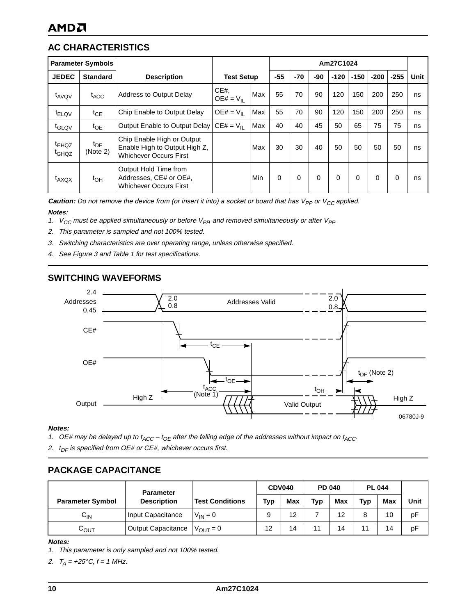## **AC CHARACTERISTICS**

|                                        | <b>Parameter Symbols</b>    |                                                                                              | Am27C1024             |            |          |       |          |        |          |          |          |      |
|----------------------------------------|-----------------------------|----------------------------------------------------------------------------------------------|-----------------------|------------|----------|-------|----------|--------|----------|----------|----------|------|
| <b>JEDEC</b>                           | <b>Standard</b>             | <b>Description</b>                                                                           | <b>Test Setup</b>     |            | $-55$    | $-70$ | -90      | $-120$ | $-150$   | $-200$   | $-255$   | Unit |
| t <sub>AVOV</sub>                      | <sup>t</sup> ACC            | <b>Address to Output Delay</b>                                                               | CE#<br>$OE# = V_{II}$ | Max        | 55       | 70    | 90       | 120    | 150      | 200      | 250      | ns   |
| $t_{\text{ELQV}}$                      | $t_{\text{CE}}$             | Chip Enable to Output Delay                                                                  | $OE# = VII$           | Max        | 55       | 70    | 90       | 120    | 150      | 200      | 250      | ns   |
| t <sub>GLQV</sub>                      | $t_{OE}$                    | Output Enable to Output Delay $CE# = V_{II}$                                                 |                       | Max        | 40       | 40    | 45       | 50     | 65       | 75       | 75       | ns   |
| <sup>t</sup> EHQZ<br>t <sub>GHQZ</sub> | $t_{\text{DF}}$<br>(Note 2) | Chip Enable High or Output<br>Enable High to Output High Z.<br><b>Whichever Occurs First</b> |                       | Max        | 30       | 30    | 40       | 50     | 50       | 50       | 50       | ns   |
| $t_{AXQX}$                             | $t_{\text{OH}}$             | Output Hold Time from<br>Addresses, CE# or OE#,<br><b>Whichever Occurs First</b>             |                       | <b>Min</b> | $\Omega$ | 0     | $\Omega$ | 0      | $\Omega$ | $\Omega$ | $\Omega$ | ns   |

**Caution:** Do not remove the device from (or insert it into) a socket or board that has  $V_{PP}$  or  $V_{CC}$  applied.

#### **Notes:**

- 1. V<sub>CC</sub> must be applied simultaneously or before V<sub>PR</sub> and removed simultaneously or after V<sub>PP</sub>
- 2. This parameter is sampled and not 100% tested.
- 3. Switching characteristics are over operating range, unless otherwise specified.
- 4. See [Figure 3](#page-8-0) and [Table 1](#page-8-0) for test specifications.

## **SWITCHING WAVEFORMS**



#### **Notes:**

- 1. OE# may be delayed up to  $t_{ACC} t_{OE}$  after the falling edge of the addresses without impact on  $t_{ACC}$ .
- 2.  $t_{DF}$  is specified from OE# or CE#, whichever occurs first.

## **PACKAGE CAPACITANCE**

|                         | <b>Parameter</b><br><b>Description</b> |                        | CDV040 |     | <b>PD 040</b> |     | <b>PL 044</b> |            |      |
|-------------------------|----------------------------------------|------------------------|--------|-----|---------------|-----|---------------|------------|------|
| <b>Parameter Symbol</b> |                                        | <b>Test Conditions</b> | Typ    | Max | Typ           | Max | Typ           | <b>Max</b> | Unit |
| $C_{IN}$                | Input Capacitance                      | $V_{IN} = 0$           |        | 12  |               | 12  | 8             | 10         | рF   |
| ∿ουτ                    | Output Capacitance                     | $V_{\text{OUT}} = 0$   | 12     | 14  | 11            | 14  | 11            | 14         | рF   |

#### **Notes:**

- 1. This parameter is only sampled and not 100% tested.
- 2.  $T_A = +25^{\circ}C, f = 1$  MHz.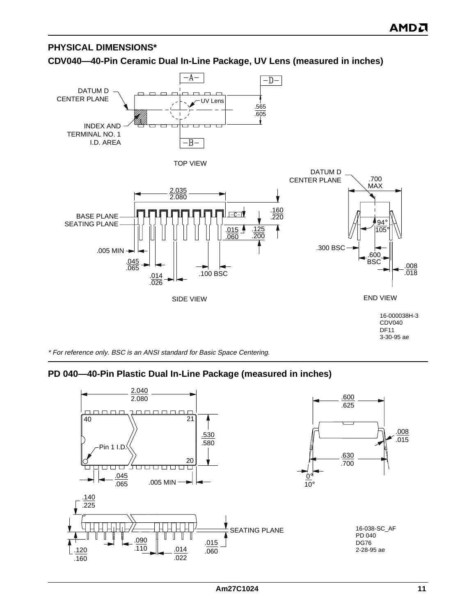## **PHYSICAL DIMENSIONS\***

## **CDV040—40-Pin Ceramic Dual In-Line Package, UV Lens (measured in inches)**



\* For reference only. BSC is an ANSI standard for Basic Space Centering.

## **PD 040—40-Pin Plastic Dual In-Line Package (measured in inches)**